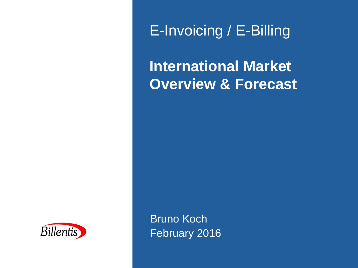E-Invoicing / E-Billing

**International Market Overview & Forecast**



Bruno Koch February 2016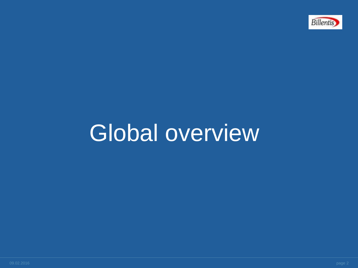

# Global overview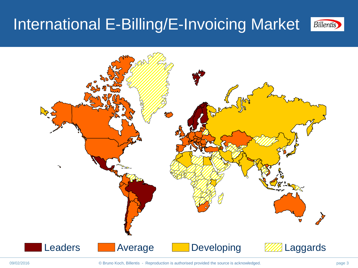#### International E-Billing/E-Invoicing Market **Billentis**

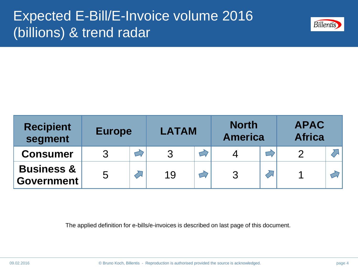## Expected E-Bill/E-Invoice volume 2016 (billions) & trend radar



| <b>Recipient</b><br>segment                | <b>Europe</b> |  | <b>LATAM</b> |  | <b>North</b><br><b>America</b> |  | <b>APAC</b><br><b>Africa</b> |  |
|--------------------------------------------|---------------|--|--------------|--|--------------------------------|--|------------------------------|--|
| <b>Consumer</b>                            |               |  | 3            |  |                                |  | 2                            |  |
| <b>Business &amp;</b><br><b>Government</b> | 5             |  | 19           |  | 3                              |  |                              |  |

The applied definition for e-bills/e-invoices is described on last page of this document.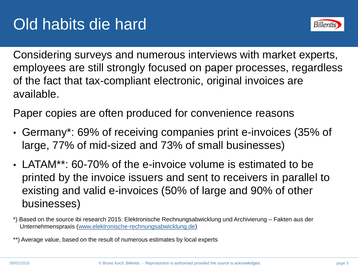

Considering surveys and numerous interviews with market experts, employees are still strongly focused on paper processes, regardless of the fact that tax-compliant electronic, original invoices are available.

Paper copies are often produced for convenience reasons

- Germany\*: 69% of receiving companies print e-invoices (35% of large, 77% of mid-sized and 73% of small businesses)
- LATAM\*\*: 60-70% of the e-invoice volume is estimated to be printed by the invoice issuers and sent to receivers in parallel to existing and valid e-invoices (50% of large and 90% of other businesses)

\*\*) Average value, based on the result of numerous estimates by local experts

<sup>\*)</sup> Based on the source ibi research 2015: Elektronische Rechnungsabwicklung und Archivierung – Fakten aus der Unternehmenspraxis ([www.elektronische-rechnungsabwicklung.de](http://www.elektronische-rechnungsabwicklung.de/))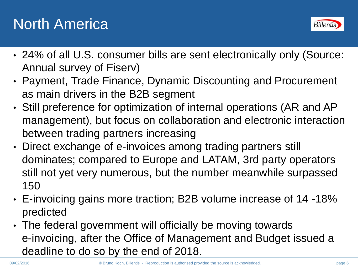# North America



- 24% of all U.S. consumer bills are sent electronically only (Source: Annual survey of Fiserv)
- Payment, Trade Finance, Dynamic Discounting and Procurement as main drivers in the B2B segment
- Still preference for optimization of internal operations (AR and AP management), but focus on collaboration and electronic interaction between trading partners increasing
- Direct exchange of e-invoices among trading partners still dominates; compared to Europe and LATAM, 3rd party operators still not yet very numerous, but the number meanwhile surpassed 150
- E-invoicing gains more traction; B2B volume increase of 14 -18% predicted
- The federal government will officially be moving towards e-invoicing, after the Office of Management and Budget issued a deadline to do so by the end of 2018.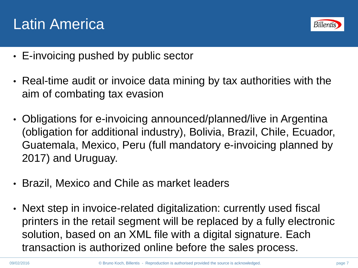



- E-invoicing pushed by public sector
- Real-time audit or invoice data mining by tax authorities with the aim of combating tax evasion
- Obligations for e-invoicing announced/planned/live in Argentina (obligation for additional industry), Bolivia, Brazil, Chile, Ecuador, Guatemala, Mexico, Peru (full mandatory e-invoicing planned by 2017) and Uruguay.
- Brazil, Mexico and Chile as market leaders
- Next step in invoice-related digitalization: currently used fiscal printers in the retail segment will be replaced by a fully electronic solution, based on an XML file with a digital signature. Each transaction is authorized online before the sales process.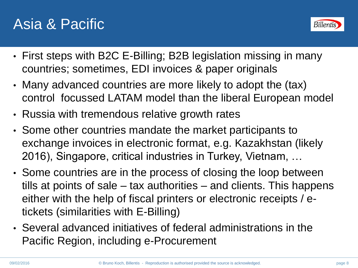## Asia & Pacific



- First steps with B2C E-Billing; B2B legislation missing in many countries; sometimes, EDI invoices & paper originals
- Many advanced countries are more likely to adopt the (tax) control focussed LATAM model than the liberal European model
- Russia with tremendous relative growth rates
- Some other countries mandate the market participants to exchange invoices in electronic format, e.g. Kazakhstan (likely 2016), Singapore, critical industries in Turkey, Vietnam, …
- Some countries are in the process of closing the loop between tills at points of sale – tax authorities – and clients. This happens either with the help of fiscal printers or electronic receipts / etickets (similarities with E-Billing)
- Several advanced initiatives of federal administrations in the Pacific Region, including e-Procurement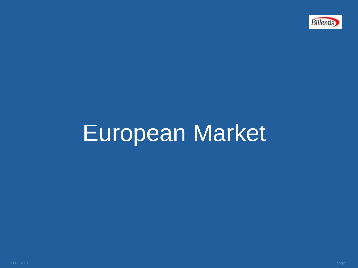

# European Market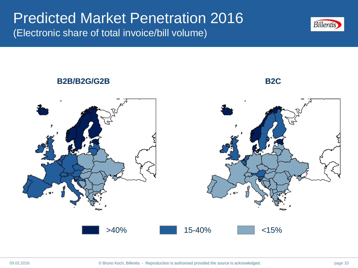#### Predicted Market Penetration 2016 (Electronic share of total invoice/bill volume)



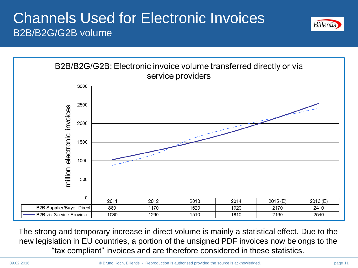### Channels Used for Electronic Invoices B2B/B2G/G2B volume





The strong and temporary increase in direct volume is mainly a statistical effect. Due to the new legislation in EU countries, a portion of the unsigned PDF invoices now belongs to the "tax compliant" invoices and are therefore considered in these statistics.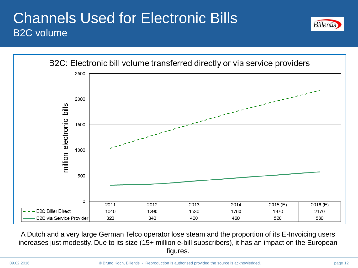### Channels Used for Electronic Bills B2C volume





A Dutch and a very large German Telco operator lose steam and the proportion of its E-Invoicing users increases just modestly. Due to its size (15+ million e-bill subscribers), it has an impact on the European figures.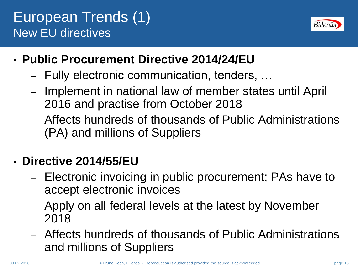## European Trends (1) New EU directives



- **Public Procurement Directive 2014/24/EU**
	- Fully electronic communication, tenders, …
	- Implement in national law of member states until April 2016 and practise from October 2018
	- Affects hundreds of thousands of Public Administrations (PA) and millions of Suppliers

### • **Directive 2014/55/EU**

- Electronic invoicing in public procurement; PAs have to accept electronic invoices
- Apply on all federal levels at the latest by November 2018
- Affects hundreds of thousands of Public Administrations and millions of Suppliers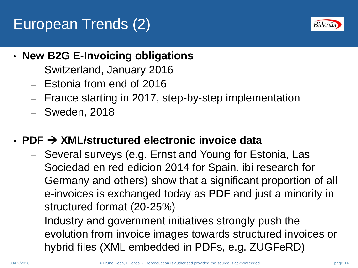# European Trends (2)



- **New B2G E-Invoicing obligations**
	- Switzerland, January 2016
	- $-$  Estonia from end of 2016
	- France starting in 2017, step-by-step implementation
	- Sweden, 2018
- **PDF XML/structured electronic invoice data**
	- Several surveys (e.g. Ernst and Young for Estonia, Las Sociedad en red edicion 2014 for Spain, ibi research for Germany and others) show that a significant proportion of all e-invoices is exchanged today as PDF and just a minority in structured format (20-25%)
	- Industry and government initiatives strongly push the evolution from invoice images towards structured invoices or hybrid files (XML embedded in PDFs, e.g. ZUGFeRD)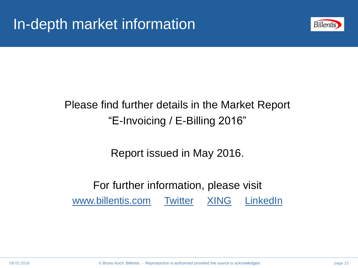

### Please find further details in the Market Report "E-Invoicing / E-Billing 2016"

Report issued in May 2016.

#### For further information, please visit [www.billentis.com](http://www.billentis.com/) Twitter [XING](https://www.xing.com/profile/Bruno_Koch10?sc_o=mxb_p) [LinkedIn](http://www.linkedin.com/groups/ERechnung-elektronische-Rechnungsverarbeitung-4419364?home=&gid=4419364&trk=anet_ug_hm)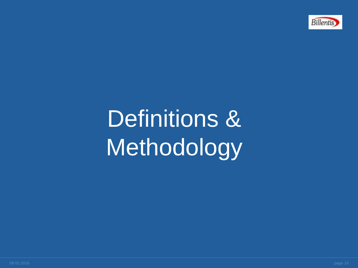

# Definitions & **Methodology**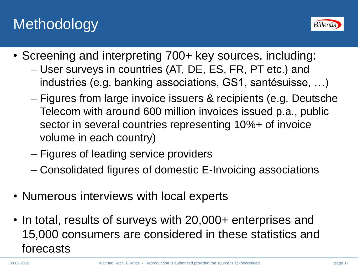# **Methodology**



- Screening and interpreting 700+ key sources, including:
	- User surveys in countries (AT, DE, ES, FR, PT etc.) and industries (e.g. banking associations, GS1, santésuisse, …)
	- Figures from large invoice issuers & recipients (e.g. Deutsche Telecom with around 600 million invoices issued p.a., public sector in several countries representing 10%+ of invoice volume in each country)
	- Figures of leading service providers
	- Consolidated figures of domestic E-Invoicing associations
- Numerous interviews with local experts
- In total, results of surveys with 20,000+ enterprises and 15,000 consumers are considered in these statistics and forecasts